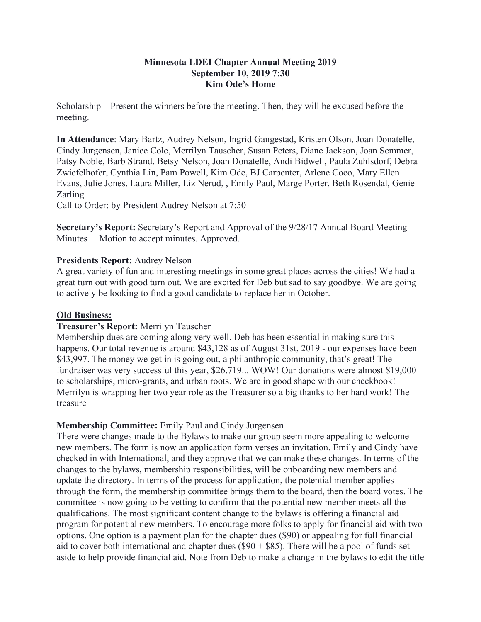### **Minnesota LDEI Chapter Annual Meeting 2019 September 10, 2019 7:30 Kim Ode's Home**

Scholarship – Present the winners before the meeting. Then, they will be excused before the meeting.

**In Attendance**: Mary Bartz, Audrey Nelson, Ingrid Gangestad, Kristen Olson, Joan Donatelle, Cindy Jurgensen, Janice Cole, Merrilyn Tauscher, Susan Peters, Diane Jackson, Joan Semmer, Patsy Noble, Barb Strand, Betsy Nelson, Joan Donatelle, Andi Bidwell, Paula Zuhlsdorf, Debra Zwiefelhofer, Cynthia Lin, Pam Powell, Kim Ode, BJ Carpenter, Arlene Coco, Mary Ellen Evans, Julie Jones, Laura Miller, Liz Nerud, , Emily Paul, Marge Porter, Beth Rosendal, Genie Zarling

Call to Order: by President Audrey Nelson at 7:50

**Secretary's Report:** Secretary's Report and Approval of the 9/28/17 Annual Board Meeting Minutes— Motion to accept minutes. Approved.

# **Presidents Report:** Audrey Nelson

A great variety of fun and interesting meetings in some great places across the cities! We had a great turn out with good turn out. We are excited for Deb but sad to say goodbye. We are going to actively be looking to find a good candidate to replace her in October.

## **Old Business:**

# **Treasurer's Report:** Merrilyn Tauscher

Membership dues are coming along very well. Deb has been essential in making sure this happens. Our total revenue is around \$43,128 as of August 31st, 2019 - our expenses have been \$43,997. The money we get in is going out, a philanthropic community, that's great! The fundraiser was very successful this year, \$26,719... WOW! Our donations were almost \$19,000 to scholarships, micro-grants, and urban roots. We are in good shape with our checkbook! Merrilyn is wrapping her two year role as the Treasurer so a big thanks to her hard work! The treasure

# **Membership Committee:** Emily Paul and Cindy Jurgensen

There were changes made to the Bylaws to make our group seem more appealing to welcome new members. The form is now an application form verses an invitation. Emily and Cindy have checked in with International, and they approve that we can make these changes. In terms of the changes to the bylaws, membership responsibilities, will be onboarding new members and update the directory. In terms of the process for application, the potential member applies through the form, the membership committee brings them to the board, then the board votes. The committee is now going to be vetting to confirm that the potential new member meets all the qualifications. The most significant content change to the bylaws is offering a financial aid program for potential new members. To encourage more folks to apply for financial aid with two options. One option is a payment plan for the chapter dues (\$90) or appealing for full financial aid to cover both international and chapter dues  $(\$90 + \$85)$ . There will be a pool of funds set aside to help provide financial aid. Note from Deb to make a change in the bylaws to edit the title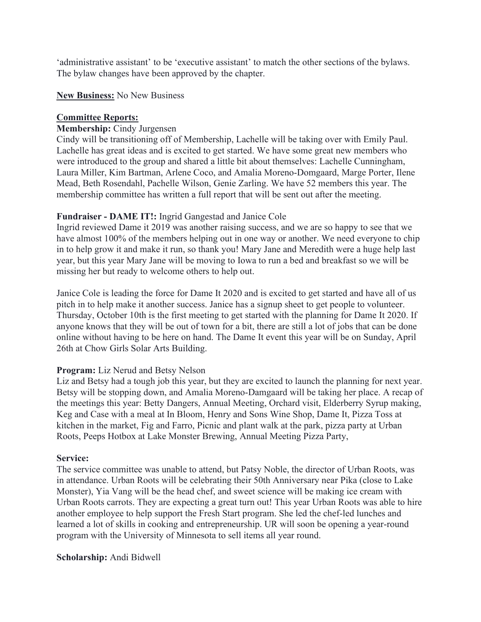'administrative assistant' to be 'executive assistant' to match the other sections of the bylaws. The bylaw changes have been approved by the chapter.

#### **New Business:** No New Business

### **Committee Reports:**

### **Membership:** Cindy Jurgensen

Cindy will be transitioning off of Membership, Lachelle will be taking over with Emily Paul. Lachelle has great ideas and is excited to get started. We have some great new members who were introduced to the group and shared a little bit about themselves: Lachelle Cunningham, Laura Miller, Kim Bartman, Arlene Coco, and Amalia Moreno-Domgaard, Marge Porter, Ilene Mead, Beth Rosendahl, Pachelle Wilson, Genie Zarling. We have 52 members this year. The membership committee has written a full report that will be sent out after the meeting.

### **Fundraiser - DAME IT!:** Ingrid Gangestad and Janice Cole

Ingrid reviewed Dame it 2019 was another raising success, and we are so happy to see that we have almost 100% of the members helping out in one way or another. We need everyone to chip in to help grow it and make it run, so thank you! Mary Jane and Meredith were a huge help last year, but this year Mary Jane will be moving to Iowa to run a bed and breakfast so we will be missing her but ready to welcome others to help out.

Janice Cole is leading the force for Dame It 2020 and is excited to get started and have all of us pitch in to help make it another success. Janice has a signup sheet to get people to volunteer. Thursday, October 10th is the first meeting to get started with the planning for Dame It 2020. If anyone knows that they will be out of town for a bit, there are still a lot of jobs that can be done online without having to be here on hand. The Dame It event this year will be on Sunday, April 26th at Chow Girls Solar Arts Building.

# **Program:** Liz Nerud and Betsy Nelson

Liz and Betsy had a tough job this year, but they are excited to launch the planning for next year. Betsy will be stopping down, and Amalia Moreno-Damgaard will be taking her place. A recap of the meetings this year: Betty Dangers, Annual Meeting, Orchard visit, Elderberry Syrup making, Keg and Case with a meal at In Bloom, Henry and Sons Wine Shop, Dame It, Pizza Toss at kitchen in the market, Fig and Farro, Picnic and plant walk at the park, pizza party at Urban Roots, Peeps Hotbox at Lake Monster Brewing, Annual Meeting Pizza Party,

#### **Service:**

The service committee was unable to attend, but Patsy Noble, the director of Urban Roots, was in attendance. Urban Roots will be celebrating their 50th Anniversary near Pika (close to Lake Monster), Yia Vang will be the head chef, and sweet science will be making ice cream with Urban Roots carrots. They are expecting a great turn out! This year Urban Roots was able to hire another employee to help support the Fresh Start program. She led the chef-led lunches and learned a lot of skills in cooking and entrepreneurship. UR will soon be opening a year-round program with the University of Minnesota to sell items all year round.

#### **Scholarship:** Andi Bidwell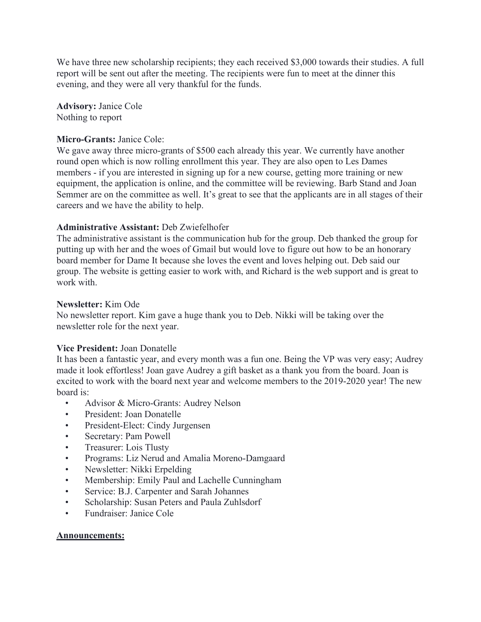We have three new scholarship recipients; they each received \$3,000 towards their studies. A full report will be sent out after the meeting. The recipients were fun to meet at the dinner this evening, and they were all very thankful for the funds.

**Advisory:** Janice Cole Nothing to report

#### **Micro-Grants:** Janice Cole:

We gave away three micro-grants of \$500 each already this year. We currently have another round open which is now rolling enrollment this year. They are also open to Les Dames members - if you are interested in signing up for a new course, getting more training or new equipment, the application is online, and the committee will be reviewing. Barb Stand and Joan Semmer are on the committee as well. It's great to see that the applicants are in all stages of their careers and we have the ability to help.

### **Administrative Assistant:** Deb Zwiefelhofer

The administrative assistant is the communication hub for the group. Deb thanked the group for putting up with her and the woes of Gmail but would love to figure out how to be an honorary board member for Dame It because she loves the event and loves helping out. Deb said our group. The website is getting easier to work with, and Richard is the web support and is great to work with.

### **Newsletter:** Kim Ode

No newsletter report. Kim gave a huge thank you to Deb. Nikki will be taking over the newsletter role for the next year.

# **Vice President:** Joan Donatelle

It has been a fantastic year, and every month was a fun one. Being the VP was very easy; Audrey made it look effortless! Joan gave Audrey a gift basket as a thank you from the board. Joan is excited to work with the board next year and welcome members to the 2019-2020 year! The new board is:

- Advisor & Micro-Grants: Audrey Nelson
- President: Joan Donatelle
- President-Elect: Cindy Jurgensen
- Secretary: Pam Powell
- Treasurer: Lois Tlusty
- Programs: Liz Nerud and Amalia Moreno-Damgaard
- Newsletter: Nikki Erpelding
- Membership: Emily Paul and Lachelle Cunningham
- Service: B.J. Carpenter and Sarah Johannes
- Scholarship: Susan Peters and Paula Zuhlsdorf
- Fundraiser: Janice Cole

# **Announcements:**